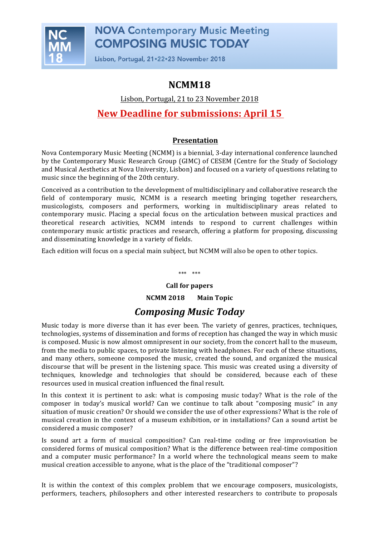

Lisbon, Portugal, 21.22.23 November 2018

### **NCMM18**

Lisbon, Portugal, 21 to 23 November 2018

### **New Deadline for submissions: April 15**

### **Presentation**

Nova Contemporary Music Meeting (NCMM) is a biennial, 3-day international conference launched by the Contemporary Music Research Group (GIMC) of CESEM (Centre for the Study of Sociology and Musical Aesthetics at Nova University, Lisbon) and focused on a variety of questions relating to music since the beginning of the 20th century.

Conceived as a contribution to the development of multidisciplinary and collaborative research the field of contemporary music, NCMM is a research meeting bringing together researchers, musicologists, composers and performers, working in multidisciplinary areas related to contemporary music. Placing a special focus on the articulation between musical practices and theoretical research activities, NCMM intends to respond to current challenges within contemporary music artistic practices and research, offering a platform for proposing, discussing and disseminating knowledge in a variety of fields.

Each edition will focus on a special main subject, but NCMM will also be open to other topics.

\*\*\* \*\*\*

# **Call for papers**

**NCMM 2018** Main Topic

## *Composing Music Today*

Music today is more diverse than it has ever been. The variety of genres, practices, techniques, technologies, systems of dissemination and forms of reception has changed the way in which music is composed. Music is now almost omnipresent in our society, from the concert hall to the museum, from the media to public spaces, to private listening with headphones. For each of these situations, and many others, someone composed the music, created the sound, and organized the musical discourse that will be present in the listening space. This music was created using a diversity of techniques, knowledge and technologies that should be considered, because each of these resources used in musical creation influenced the final result.

In this context it is pertinent to ask: what is composing music today? What is the role of the composer in today's musical world? Can we continue to talk about "composing music" in any situation of music creation? Or should we consider the use of other expressions? What is the role of musical creation in the context of a museum exhibition, or in installations? Can a sound artist be considered a music composer?

Is sound art a form of musical composition? Can real-time coding or free improvisation be considered forms of musical composition? What is the difference between real-time composition and a computer music performance? In a world where the technological means seem to make musical creation accessible to anyone, what is the place of the "traditional composer"?

It is within the context of this complex problem that we encourage composers, musicologists, performers, teachers, philosophers and other interested researchers to contribute to proposals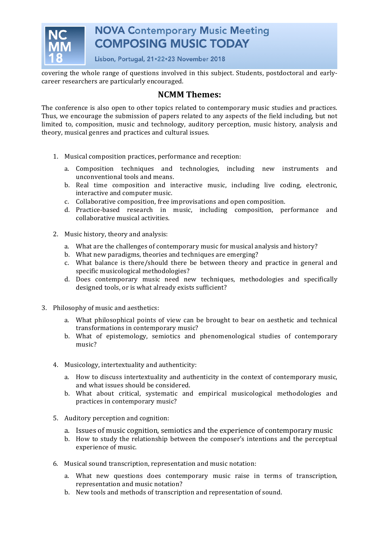

Lisbon, Portugal, 21.22.23 November 2018

covering the whole range of questions involved in this subject. Students, postdoctoral and earlycareer researchers are particularly encouraged.

### **NCMM Themes:**

The conference is also open to other topics related to contemporary music studies and practices. Thus, we encourage the submission of papers related to any aspects of the field including, but not limited to, composition, music and technology, auditory perception, music history, analysis and theory, musical genres and practices and cultural issues.

- 1. Musical composition practices, performance and reception:
	- a. Composition techniques and technologies, including new instruments and unconventional tools and means.
	- b. Real time composition and interactive music, including live coding, electronic, interactive and computer music.
	- c. Collaborative composition, free improvisations and open composition.
	- d. Practice-based research in music, including composition, performance and collaborative musical activities.
- 2. Music history, theory and analysis:
	- a. What are the challenges of contemporary music for musical analysis and history?
	- b. What new paradigms, theories and techniques are emerging?
	- c. What balance is there/should there be between theory and practice in general and specific musicological methodologies?
	- d. Does contemporary music need new techniques, methodologies and specifically designed tools, or is what already exists sufficient?
- 3. Philosophy of music and aesthetics:
	- a. What philosophical points of view can be brought to bear on aesthetic and technical transformations in contemporary music?
	- b. What of epistemology, semiotics and phenomenological studies of contemporary music?
	- 4. Musicology, intertextuality and authenticity:
		- a. How to discuss intertextuality and authenticity in the context of contemporary music, and what issues should be considered.
		- b. What about critical, systematic and empirical musicological methodologies and practices in contemporary music?
	- 5. Auditory perception and cognition:
		- a. Issues of music cognition, semiotics and the experience of contemporary music
		- b. How to study the relationship between the composer's intentions and the perceptual experience of music.
	- 6. Musical sound transcription, representation and music notation:
		- a. What new questions does contemporary music raise in terms of transcription, representation and music notation?
		- b. New tools and methods of transcription and representation of sound.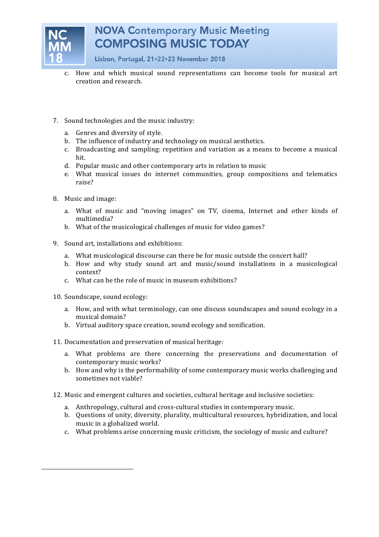

Lisbon, Portugal, 21.22.23 November 2018

- c. How and which musical sound representations can become tools for musical art creation and research.
- 7. Sound technologies and the music industry:
	- a. Genres and diversity of style.
	- b. The influence of industry and technology on musical aesthetics.
	- c. Broadcasting and sampling: repetition and variation as a means to become a musical hit.
	- d. Popular music and other contemporary arts in relation to music
	- e. What musical issues do internet communities, group compositions and telematics raise?
- 8. Music and image:
	- a. What of music and "moving images" on TV, cinema, Internet and other kinds of multimedia?
	- b. What of the musicological challenges of music for video games?
- 9. Sound art, installations and exhibitions:
	- a. What musicological discourse can there be for music outside the concert hall?
	- b. How and why study sound art and music/sound installations in a musicological context?
	- c. What can be the role of music in museum exhibitions?
- 10. Soundscape, sound ecology:
	- a. How, and with what terminology, can one discuss soundscapes and sound ecology in a musical domain?
	- b. Virtual auditory space creation, sound ecology and sonification.
- 11. Documentation and preservation of musical heritage:
	- a. What problems are there concerning the preservations and documentation of contemporary music works?
	- b. How and why is the performability of some contemporary music works challenging and sometimes not viable?
- 12. Music and emergent cultures and societies, cultural heritage and inclusive societies:
	- a. Anthropology, cultural and cross-cultural studies in contemporary music.
	- b. Questions of unity, diversity, plurality, multicultural resources, hybridization, and local music in a globalized world.
	- c. What problems arise concerning music criticism, the sociology of music and culture?